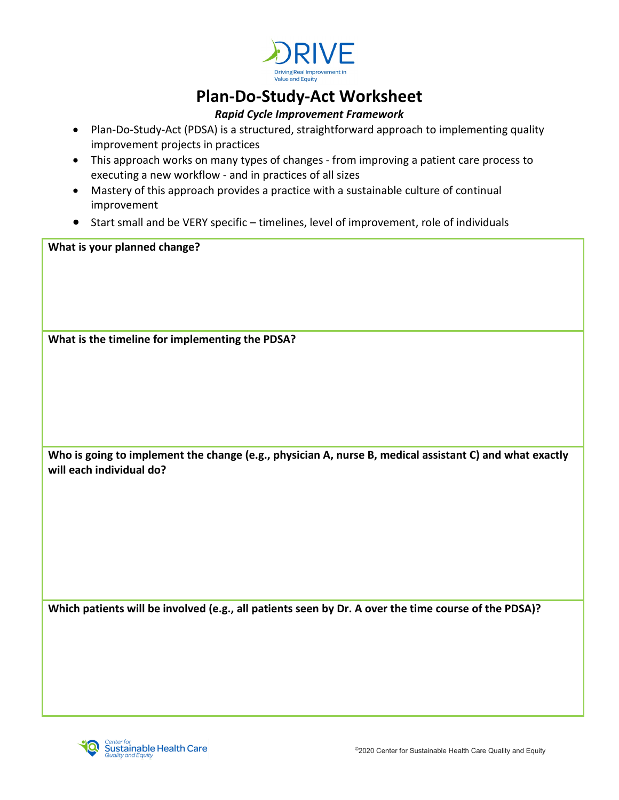

## **Plan-Do-Study-Act Worksheet**

## *Rapid Cycle Improvement Framework*

- Plan-Do-Study-Act (PDSA) is a structured, straightforward approach to implementing quality improvement projects in practices
- This approach works on many types of changes from improving a patient care process to executing a new workflow - and in practices of all sizes
- Mastery of this approach provides a practice with a sustainable culture of continual improvement
- Start small and be VERY specific timelines, level of improvement, role of individuals

**What is your planned change?** 

**What is the timeline for implementing the PDSA?** 

**Who is going to implement the change (e.g., physician A, nurse B, medical assistant C) and what exactly will each individual do?**

**Which patients will be involved (e.g., all patients seen by Dr. A over the time course of the PDSA)?**